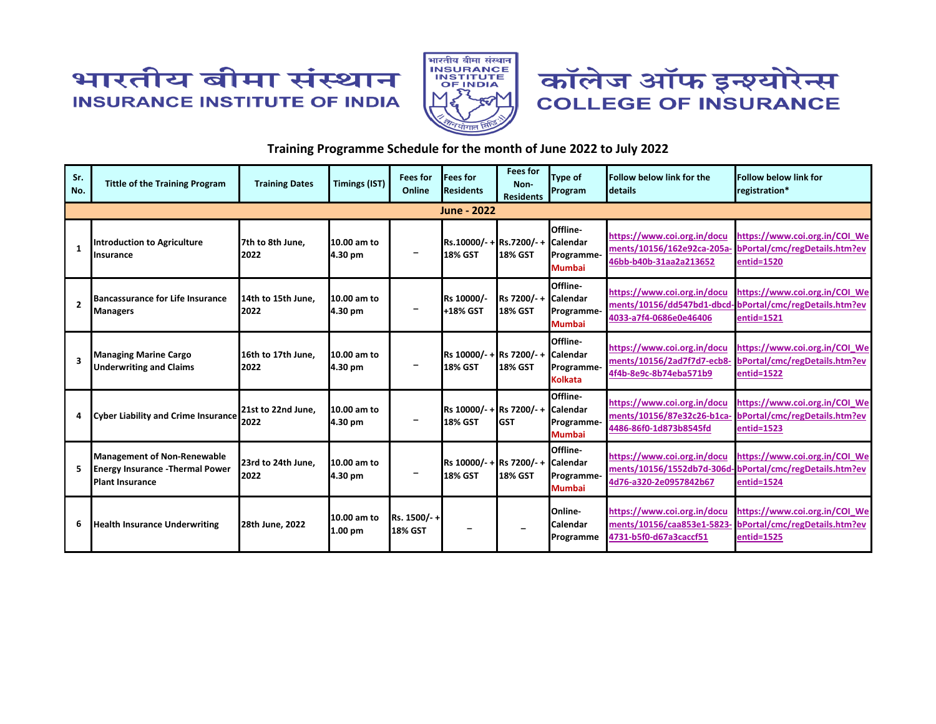





## **Training Programme Schedule for the month of June 2022 to July 2022**

| Sr.<br>No.     | <b>Tittle of the Training Program</b>                                                                   | <b>Training Dates</b>      | <b>Timings (IST)</b>              | <b>Fees for</b><br>Online     | <b>Fees for</b><br><b>Residents</b>                 | <b>Fees for</b><br>Non-<br><b>Residents</b> | <b>Type of</b><br>Program                                   | <b>Follow below link for the</b><br>details                                         | <b>Follow below link for</b><br>registration*                                |  |  |
|----------------|---------------------------------------------------------------------------------------------------------|----------------------------|-----------------------------------|-------------------------------|-----------------------------------------------------|---------------------------------------------|-------------------------------------------------------------|-------------------------------------------------------------------------------------|------------------------------------------------------------------------------|--|--|
|                | <b>June - 2022</b>                                                                                      |                            |                                   |                               |                                                     |                                             |                                                             |                                                                                     |                                                                              |  |  |
| 1              | <b>Introduction to Agriculture</b><br><b>Insurance</b>                                                  | 7th to 8th June.<br>2022   | 10.00 am to<br>4.30 pm            |                               | Rs.10000/- + Rs.7200/- + Calendar<br><b>18% GST</b> | <b>18% GST</b>                              | Offline-<br>Programme-<br><b>Mumbai</b>                     | https://www.coi.org.in/docu<br>ments/10156/162e92ca-205a-<br>46bb-b40b-31aa2a213652 | https://www.coi.org.in/COI We<br>bPortal/cmc/regDetails.htm?ev<br>entid=1520 |  |  |
| $\overline{2}$ | <b>Bancassurance for Life Insurance</b><br><b>Managers</b>                                              | 14th to 15th June.<br>2022 | 10.00 am to<br>4.30 pm            |                               | Rs 10000/-<br>+18% GST                              | $Rs$ 7200/- + Calendar<br><b>18% GST</b>    | Offline-<br>Programme-<br><b>Mumbai</b>                     | https://www.coi.org.in/docu<br>ments/10156/dd547bd1-dbcd-<br>4033-a7f4-0686e0e46406 | https://www.coi.org.in/COI We<br>bPortal/cmc/regDetails.htm?ev<br>entid=1521 |  |  |
| 3              | <b>Managing Marine Cargo</b><br><b>Underwriting and Claims</b>                                          | 16th to 17th June.<br>2022 | 10.00 am to<br>4.30 pm            | -                             | Rs 10000/- + Rs 7200/- +<br><b>18% GST</b>          | <b>18% GST</b>                              | Offline-<br><b>Calendar</b><br>Programme-<br><b>Kolkata</b> | https://www.coi.org.in/docu<br>ments/10156/2ad7f7d7-ecb8-<br>4f4b-8e9c-8b74eba571b9 | https://www.coi.org.in/COI We<br>bPortal/cmc/regDetails.htm?ev<br>entid=1522 |  |  |
| 4              | <b>Cyber Liability and Crime Insurance</b>                                                              | 21st to 22nd June.<br>2022 | 10.00 am to<br>4.30 pm            | -                             | Rs 10000/- + Rs 7200/- +<br><b>18% GST</b>          | <b>GST</b>                                  | Offline-<br><b>Calendar</b><br>Programme-<br><b>Mumbai</b>  | https://www.coi.org.in/docu<br>ments/10156/87e32c26-b1ca-<br>4486-86f0-1d873b8545fd | https://www.coi.org.in/COI We<br>bPortal/cmc/regDetails.htm?ev<br>entid=1523 |  |  |
| 5              | <b>Management of Non-Renewable</b><br><b>Energy Insurance - Thermal Power</b><br><b>Plant Insurance</b> | 23rd to 24th June.<br>2022 | 10.00 am to<br>4.30 pm            | -                             | Rs 10000/- + Rs 7200/- +<br><b>18% GST</b>          | <b>18% GST</b>                              | Offline-<br><b>Calendar</b><br>Programme-<br><b>Mumbai</b>  | https://www.coi.org.in/docu<br>ments/10156/1552db7d-306d-<br>4d76-a320-2e0957842b67 | https://www.coi.org.in/COI We<br>bPortal/cmc/regDetails.htm?ev<br>entid=1524 |  |  |
| 6              | <b>Health Insurance Underwriting</b>                                                                    | 28th June, 2022            | 10.00 am to<br>1.00 <sub>pm</sub> | Rs. 1500/-+<br><b>18% GST</b> |                                                     |                                             | Online-<br><b>Calendar</b><br>Programme                     | https://www.coi.org.in/docu<br>ments/10156/caa853e1-5823-<br>4731-b5f0-d67a3caccf51 | https://www.coi.org.in/COI We<br>bPortal/cmc/regDetails.htm?ev<br>entid=1525 |  |  |